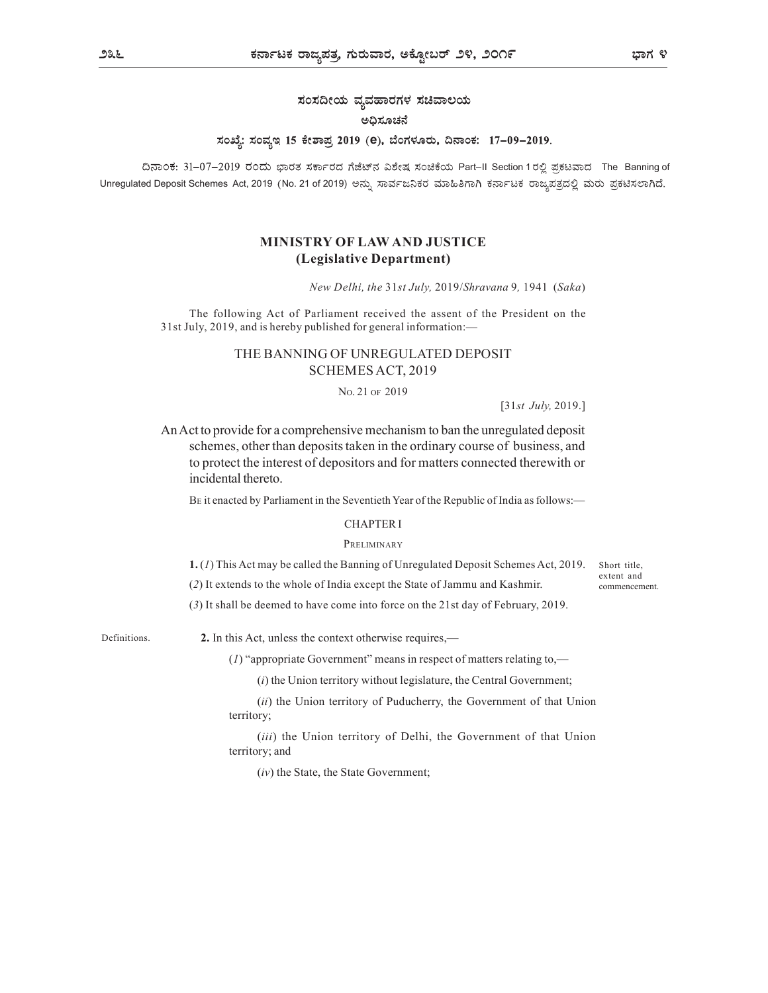# ಸಂಸದೀಯ ವ್ಯವಹಾರಗಳ ಸಚಿವಾಲಯ

## ಅಧಿಸೂಚನೆ

# ಸಂಖ್ಯೆ: ಸಂವ್ಯಇ 15 ಕೇಶಾಪ್ರ 2019 (e), ಬೆಂಗಳೂರು, ದಿನಾಂಕ: 17-09-2019.

ದಿನಾಂಕ: 31-07-2019 ರಂದು ಭಾರತ ಸರ್ಕಾರದ ಗೆಜೆಟ್ನ ವಿಶೇಷ ಸಂಚಿಕೆಯ Part-II Section 1 ರಲ್ಲಿ ಪ್ರಕಟವಾದ The Banning of Unregulated Deposit Schemes Act, 2019 (No. 21 of 2019) ಅನ್ನು ಸಾರ್ವಜನಿಕರ ಮಾಹಿತಿಗಾಗಿ ಕರ್ನಾಟಕ ರಾಜ್ಯಪತ್ರದಲ್ಲಿ ಮರು ಪ್ರಕಟಿಸಲಾಗಿದೆ.

# MINISTRY OF LAW AND JUSTICE (Legislative Department)

New Delhi, the 31st July, 2019/Shravana 9, 1941 (Saka)

The following Act of Parliament received the assent of the President on the 31st July, 2019, and is hereby published for general information:—

# THE BANNING OF UNREGULATED DEPOSIT SCHEMES ACT, 2019

NO. 21 OF 2019

[31st July, 2019.]

An Act to provide for a comprehensive mechanism to ban the unregulated deposit schemes, other than deposits taken in the ordinary course of business, and to protect the interest of depositors and for matters connected therewith or incidental thereto.

BE it enacted by Parliament in the Seventieth Year of the Republic of India as follows:—

### CHAPTER I

### PRELIMINARY

1. (1) This Act may be called the Banning of Unregulated Deposit Schemes Act, 2019.

(2) It extends to the whole of India except the State of Jammu and Kashmir.

Short title, extent and commencement.

(3) It shall be deemed to have come into force on the 21st day of February, 2019.

Definitions.

2. In this Act, unless the context otherwise requires,—

(1) "appropriate Government" means in respect of matters relating to,—

 $(i)$  the Union territory without legislature, the Central Government;

(ii) the Union territory of Puducherry, the Government of that Union territory;

(*iii*) the Union territory of Delhi, the Government of that Union territory; and

(iv) the State, the State Government;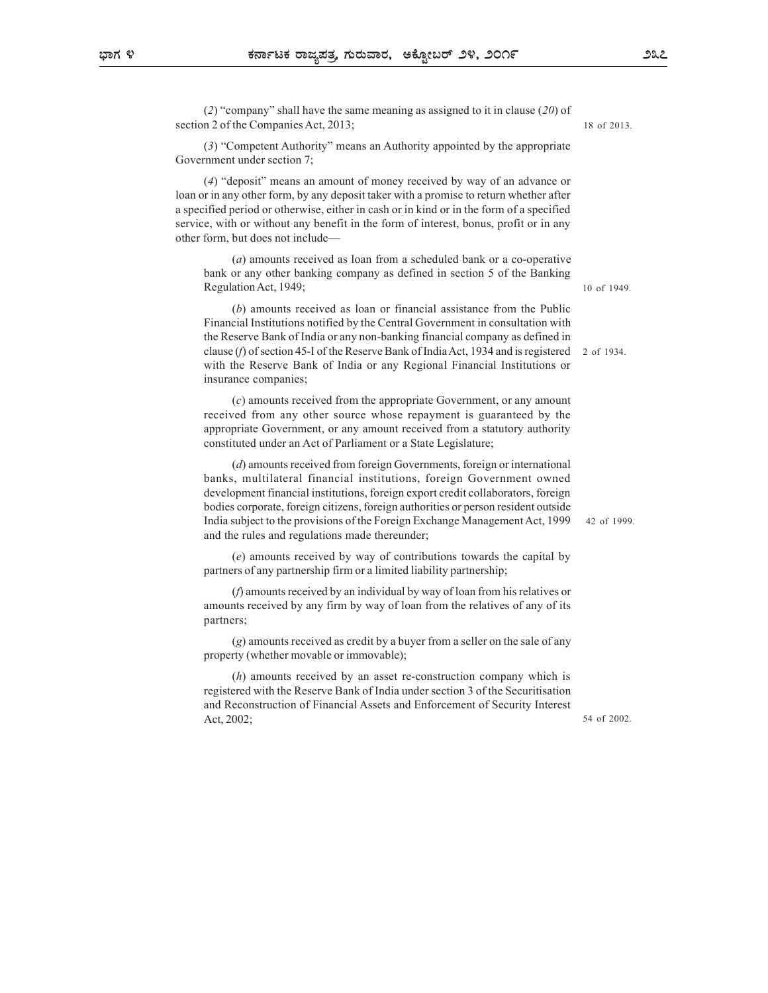(2) "company" shall have the same meaning as assigned to it in clause (20) of section 2 of the Companies Act, 2013;

(3) "Competent Authority" means an Authority appointed by the appropriate Government under section 7;

(4) "deposit" means an amount of money received by way of an advance or loan or in any other form, by any deposit taker with a promise to return whether after a specified period or otherwise, either in cash or in kind or in the form of a specified service, with or without any benefit in the form of interest, bonus, profit or in any other form, but does not include—

(a) amounts received as loan from a scheduled bank or a co-operative bank or any other banking company as defined in section 5 of the Banking Regulation Act, 1949;

(b) amounts received as loan or financial assistance from the Public Financial Institutions notified by the Central Government in consultation with the Reserve Bank of India or any non-banking financial company as defined in clause (f) of section 45-I of the Reserve Bank of India Act, 1934 and is registered with the Reserve Bank of India or any Regional Financial Institutions or insurance companies;

(c) amounts received from the appropriate Government, or any amount received from any other source whose repayment is guaranteed by the appropriate Government, or any amount received from a statutory authority constituted under an Act of Parliament or a State Legislature;

(d) amounts received from foreign Governments, foreign or international banks, multilateral financial institutions, foreign Government owned development financial institutions, foreign export credit collaborators, foreign bodies corporate, foreign citizens, foreign authorities or person resident outside India subject to the provisions of the Foreign Exchange Management Act, 1999 and the rules and regulations made thereunder;

(e) amounts received by way of contributions towards the capital by partners of any partnership firm or a limited liability partnership;

(f) amounts received by an individual by way of loan from his relatives or amounts received by any firm by way of loan from the relatives of any of its partners;

(g) amounts received as credit by a buyer from a seller on the sale of any property (whether movable or immovable);

(h) amounts received by an asset re-construction company which is registered with the Reserve Bank of India under section 3 of the Securitisation and Reconstruction of Financial Assets and Enforcement of Security Interest Act, 2002;

18 of 2013.

10 of 1949.

2 of 1934.

42 of 1999.

54 of 2002.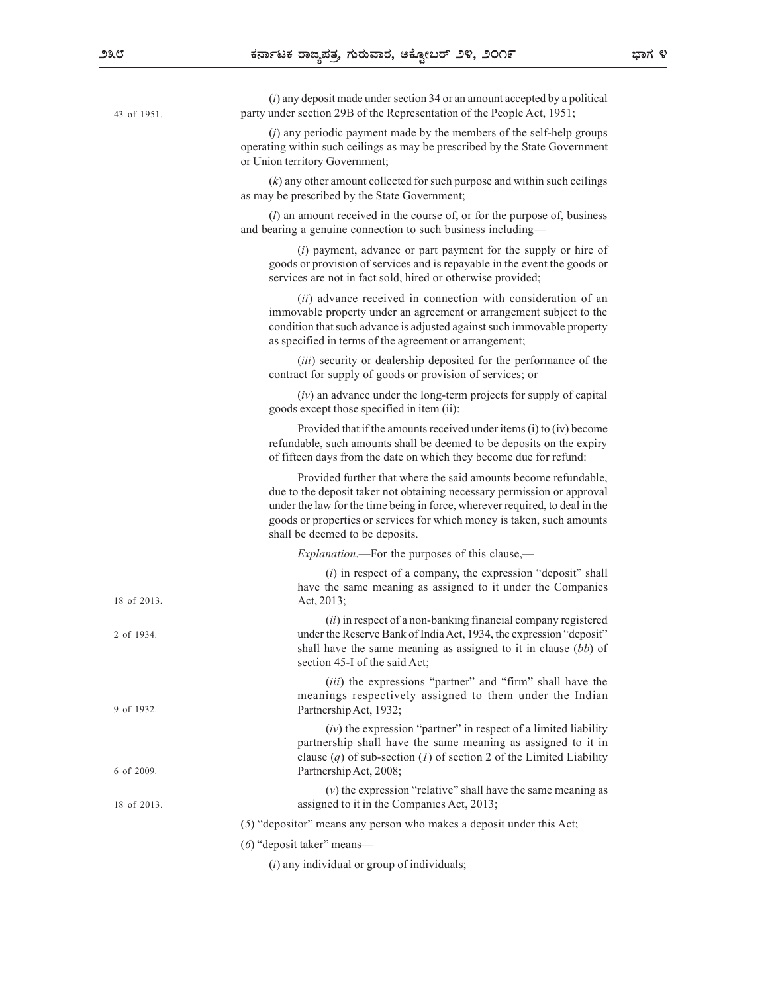| 43 of 1951. | $(i)$ any deposit made under section 34 or an amount accepted by a political<br>party under section 29B of the Representation of the People Act, 1951;                                                                                                                                                                                  |  |
|-------------|-----------------------------------------------------------------------------------------------------------------------------------------------------------------------------------------------------------------------------------------------------------------------------------------------------------------------------------------|--|
|             | $(j)$ any periodic payment made by the members of the self-help groups<br>operating within such ceilings as may be prescribed by the State Government<br>or Union territory Government;                                                                                                                                                 |  |
|             | $(k)$ any other amount collected for such purpose and within such ceilings<br>as may be prescribed by the State Government;                                                                                                                                                                                                             |  |
|             | $(l)$ an amount received in the course of, or for the purpose of, business<br>and bearing a genuine connection to such business including-                                                                                                                                                                                              |  |
|             | $(i)$ payment, advance or part payment for the supply or hire of<br>goods or provision of services and is repayable in the event the goods or<br>services are not in fact sold, hired or otherwise provided;                                                                                                                            |  |
|             | (ii) advance received in connection with consideration of an<br>immovable property under an agreement or arrangement subject to the<br>condition that such advance is adjusted against such immovable property<br>as specified in terms of the agreement or arrangement;                                                                |  |
|             | (iii) security or dealership deposited for the performance of the<br>contract for supply of goods or provision of services; or                                                                                                                                                                                                          |  |
|             | $(iv)$ an advance under the long-term projects for supply of capital<br>goods except those specified in item (ii):                                                                                                                                                                                                                      |  |
|             | Provided that if the amounts received under items (i) to (iv) become<br>refundable, such amounts shall be deemed to be deposits on the expiry<br>of fifteen days from the date on which they become due for refund:                                                                                                                     |  |
|             | Provided further that where the said amounts become refundable,<br>due to the deposit taker not obtaining necessary permission or approval<br>under the law for the time being in force, wherever required, to deal in the<br>goods or properties or services for which money is taken, such amounts<br>shall be deemed to be deposits. |  |
|             | <i>Explanation</i> .—For the purposes of this clause,—                                                                                                                                                                                                                                                                                  |  |
| 18 of 2013. | $(i)$ in respect of a company, the expression "deposit" shall<br>have the same meaning as assigned to it under the Companies<br>Act, $2013$ ;                                                                                                                                                                                           |  |
| 2 of 1934.  | (ii) in respect of a non-banking financial company registered<br>under the Reserve Bank of India Act, 1934, the expression "deposit"<br>shall have the same meaning as assigned to it in clause $(bb)$ of<br>section 45-I of the said Act;                                                                                              |  |
| 9 of 1932.  | (iii) the expressions "partner" and "firm" shall have the<br>meanings respectively assigned to them under the Indian<br>Partnership Act, 1932;                                                                                                                                                                                          |  |
| 6 of 2009.  | $(iv)$ the expression "partner" in respect of a limited liability<br>partnership shall have the same meaning as assigned to it in<br>clause $(q)$ of sub-section (1) of section 2 of the Limited Liability<br>Partnership Act, 2008;                                                                                                    |  |
| 18 of 2013. | $(v)$ the expression "relative" shall have the same meaning as<br>assigned to it in the Companies Act, 2013;                                                                                                                                                                                                                            |  |
|             | $(5)$ "depositor" means any person who makes a deposit under this Act;                                                                                                                                                                                                                                                                  |  |
|             | $(6)$ "deposit taker" means—                                                                                                                                                                                                                                                                                                            |  |
|             | $(i)$ any individual or group of individuals;                                                                                                                                                                                                                                                                                           |  |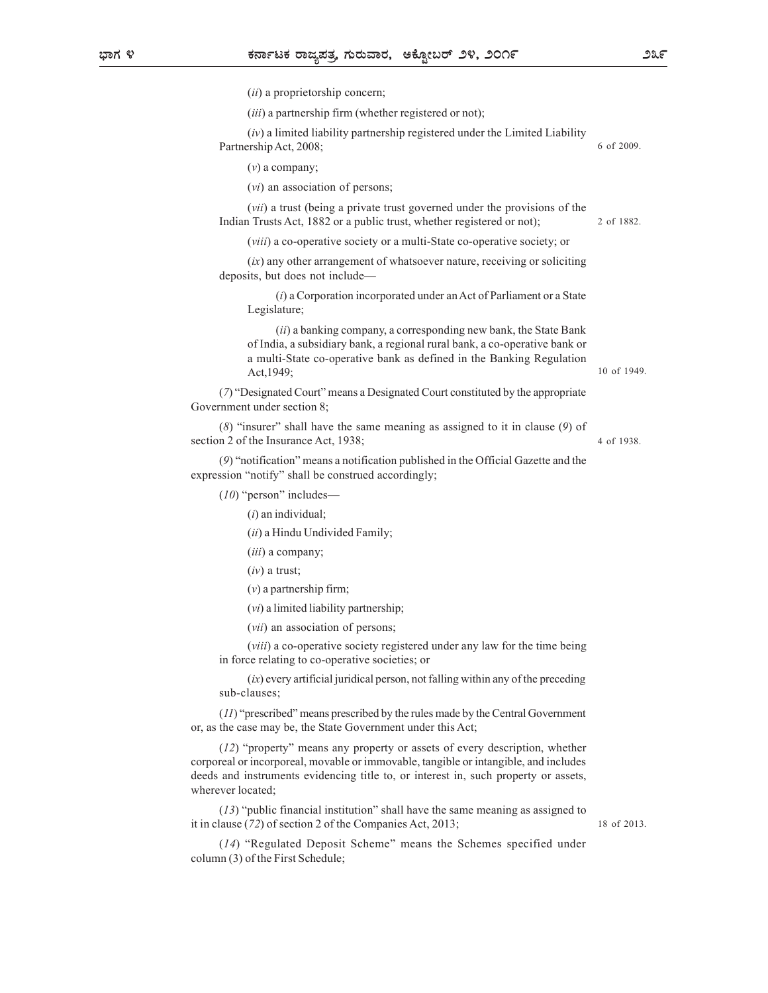(*ii*) a proprietorship concern;

 $(iii)$  a partnership firm (whether registered or not);

 $(iv)$  a limited liability partnership registered under the Limited Liability Partnership Act, 2008; 6 of 2009.

 $(v)$  a company;

(vi) an association of persons;

(vii) a trust (being a private trust governed under the provisions of the Indian Trusts Act, 1882 or a public trust, whether registered or not);

(viii) a co-operative society or a multi-State co-operative society; or

 $(ix)$  any other arrangement of whatsoever nature, receiving or soliciting deposits, but does not include—

 $(i)$  a Corporation incorporated under an Act of Parliament or a State Legislature;

(ii) a banking company, a corresponding new bank, the State Bank of India, a subsidiary bank, a regional rural bank, a co-operative bank or a multi-State co-operative bank as defined in the Banking Regulation Act,1949;

(7) "Designated Court" means a Designated Court constituted by the appropriate Government under section 8;

(8) "insurer" shall have the same meaning as assigned to it in clause (9) of section 2 of the Insurance Act, 1938;

(9) "notification" means a notification published in the Official Gazette and the expression "notify" shall be construed accordingly;

(10) "person" includes—

 $(i)$  an individual;

(ii) a Hindu Undivided Family;

(*iii*) a company;

 $(iv)$  a trust;

 $(v)$  a partnership firm;

- (vi) a limited liability partnership;
- (vii) an association of persons;

(viii) a co-operative society registered under any law for the time being in force relating to co-operative societies; or

 $(ix)$  every artificial juridical person, not falling within any of the preceding sub-clauses;

(11) "prescribed" means prescribed by the rules made by the Central Government or, as the case may be, the State Government under this Act;

(12) "property" means any property or assets of every description, whether corporeal or incorporeal, movable or immovable, tangible or intangible, and includes deeds and instruments evidencing title to, or interest in, such property or assets, wherever located;

(13) "public financial institution" shall have the same meaning as assigned to it in clause (72) of section 2 of the Companies Act, 2013;

18 of 2013.

(14) "Regulated Deposit Scheme" means the Schemes specified under column (3) of the First Schedule;

2 of 1882.

10 of 1949.

4 of 1938.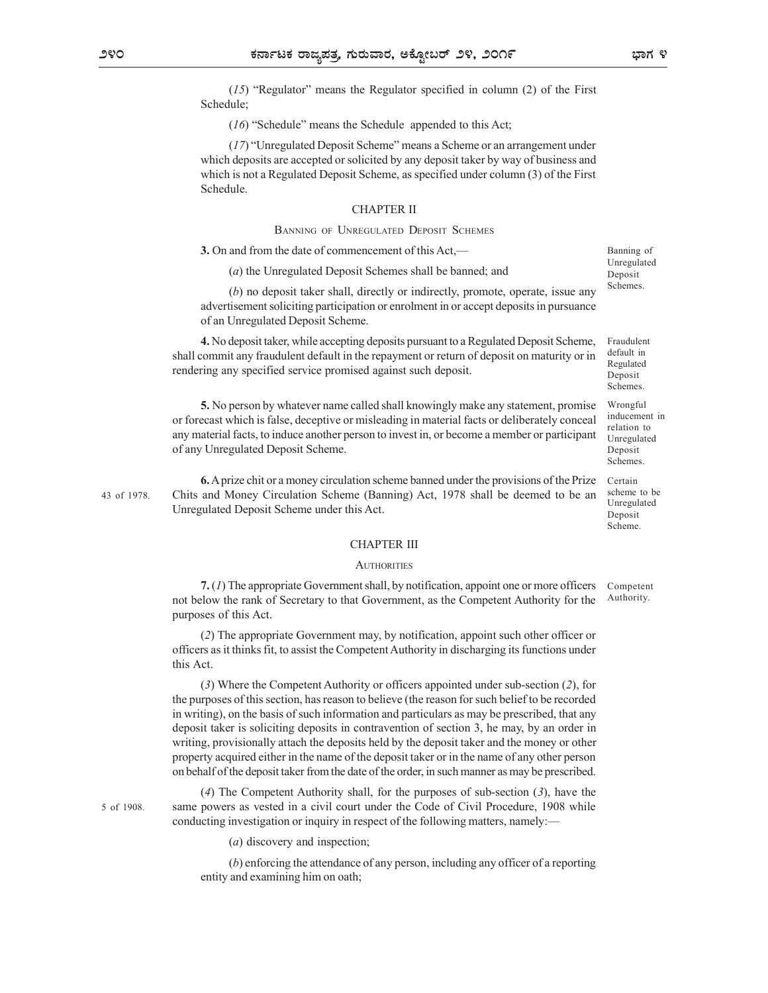$(15)$  "Regulator" means the Regulator specified in column  $(2)$  of the First Schedule;

(16) "Schedule" means the Schedule appended to this Act;

(17) "Unregulated Deposit Scheme" means a Scheme or an arrangement under which deposits are accepted or solicited by any deposit taker by way of business and which is not a Regulated Deposit Scheme, as specified under column (3) of the First Schedule. List  $\overline{S}$  or  $\overline{S}$  or  $\overline{S}$  or  $\overline{S}$  or  $\overline{S}$  or  $\overline{S}$  or  $\overline{S}$  or  $\overline{S}$  or  $\overline{S}$  or  $\overline{S}$  or  $\overline{S}$  or  $\overline{S}$  or  $\overline{S}$  or  $\overline{S}$  or  $\overline{S}$  or  $\overline{S}$  or  $\overline{S}$  or  $\overline{S}$  or

### CHAPTER II

3. On and from the date of commencement of this Act,—

(a) the Unregulated Deposit Schemes shall be banned; and

(b) no deposit taker shall, directly or indirectly, promote, operate, issue any advertisement soliciting participation or enrolment in or accept deposits in pursuance of an Unregulated Deposit Scheme.

4. No deposit taker, while accepting deposits pursuant to a Regulated Deposit Scheme, shall commit any fraudulent default in the repayment or return of deposit on maturity or in rendering any specified service promised against such deposit.

5. No person by whatever name called shall knowingly make any statement, promise or forecast which is false, deceptive or misleading in material facts or deliberately conceal any material facts, to induce another person to invest in, or become a member or participant of any Unregulated Deposit Scheme.

6. A prize chit or a money circulation scheme banned under the provisions of the Prize 43 of 1978. Chits and Money Circulation Scheme (Banning) Act, 1978 shall be deemed to be an scheme to be Unregulated Deposit Scheme under this Act.

# CHAPTER III

### **AUTHORITIES**

7. (1) The appropriate Government shall, by notification, appoint one or more officers not below the rank of Secretary to that Government, as the Competent Authority for the purposes of this Act.

(2) The appropriate Government may, by notification, appoint such other officer or officers as it thinks fit, to assist the Competent Authority in discharging its functions under this Act.

(3) Where the Competent Authority or officers appointed under sub-section (2), for the purposes of this section, has reason to believe (the reason for such belief to be recorded in writing), on the basis of such information and particulars as may be prescribed, that any deposit taker is soliciting deposits in contravention of section 3, he may, by an order in writing, provisionally attach the deposits held by the deposit taker and the money or other property acquired either in the name of the deposit taker or in the name of any other person on behalf of the deposit taker from the date of the order, in such manner as may be prescribed.

(4) The Competent Authority shall, for the purposes of sub-section (3), have the 5 of 1908. Same powers as vested in a civil court under the Code of Civil Procedure, 1908 while conducting investigation or inquiry in respect of the following matters, namely:—

(a) discovery and inspection;

(b) enforcing the attendance of any person, including any officer of a reporting entity and examining him on oath;

Banning of Unregulated Deposit Schemes.

Fraudulent default in Regulated Deposit Schemes. Wrongful inducement in

relation to Unregulated Deposit Schemes. Certain and the contract of the contract of the contract of the contract of the contract of the contract of the contract of the contract of the contract of the contract of the contract of the contract of the contract of th

scheme to be Unregulated Deposit Scheme.

Competent Authority.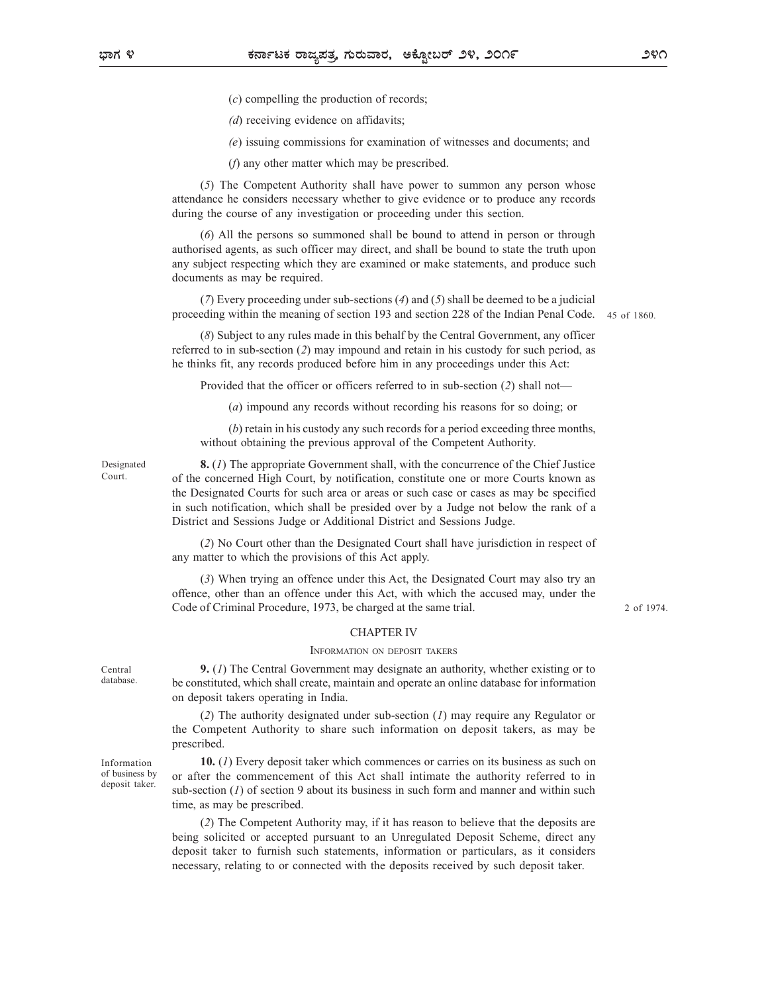(c) compelling the production of records;

(*d*) receiving evidence on affidavits;

(e) issuing commissions for examination of witnesses and documents; and

(f) any other matter which may be prescribed.

(5) The Competent Authority shall have power to summon any person whose attendance he considers necessary whether to give evidence or to produce any records during the course of any investigation or proceeding under this section.

(6) All the persons so summoned shall be bound to attend in person or through authorised agents, as such officer may direct, and shall be bound to state the truth upon any subject respecting which they are examined or make statements, and produce such documents as may be required.

(7) Every proceeding under sub-sections (4) and (5) shall be deemed to be a judicial proceeding within the meaning of section 193 and section 228 of the Indian Penal Code.

45 of 1860.

(8) Subject to any rules made in this behalf by the Central Government, any officer referred to in sub-section (2) may impound and retain in his custody for such period, as he thinks fit, any records produced before him in any proceedings under this Act:

Provided that the officer or officers referred to in sub-section (2) shall not—

(a) impound any records without recording his reasons for so doing; or

(b) retain in his custody any such records for a period exceeding three months, without obtaining the previous approval of the Competent Authority.

Designated **8.** (1) The appropriate Government shall, with the concurrence of the Chief Justice of the concerned High Court, by notification, constitute one or more Courts known as Court. the Designated Courts for such area or areas or such case or cases as may be specified in such notification, which shall be presided over by a Judge not below the rank of a District and Sessions Judge or Additional District and Sessions Judge. made in this behalf by the Central Government, any officer<br>may impound and retain in his custody for such period, as<br>dukeed before him in any proceedings under this Act:<br>er or officers referred to in sub-section (2) shall

(2) No Court other than the Designated Court shall have jurisdiction in respect of any matter to which the provisions of this Act apply.

(3) When trying an offence under this Act, the Designated Court may also try an offence, other than an offence under this Act, with which the accused may, under the Code of Criminal Procedure, 1973, be charged at the same trial.

2 of 1974.

## CHAPTER IV

deposit taker.

9. (1) The Central Government may designate an authority, whether existing or to Central be constituted, which shall create, maintain and operate an online database for information database. on deposit takers operating in India.

(2) The authority designated under sub-section (1) may require any Regulator or the Competent Authority to share such information on deposit takers, as may be prescribed.

Information **10.** (1) Every deposit taker which commences or carries on its business as such on or after the commencement of this Act shall intimate the authority referred to in of business by sub-section  $(1)$  of section 9 about its business in such form and manner and within such time, as may be prescribed.

(2) The Competent Authority may, if it has reason to believe that the deposits are being solicited or accepted pursuant to an Unregulated Deposit Scheme, direct any deposit taker to furnish such statements, information or particulars, as it considers necessary, relating to or connected with the deposits received by such deposit taker.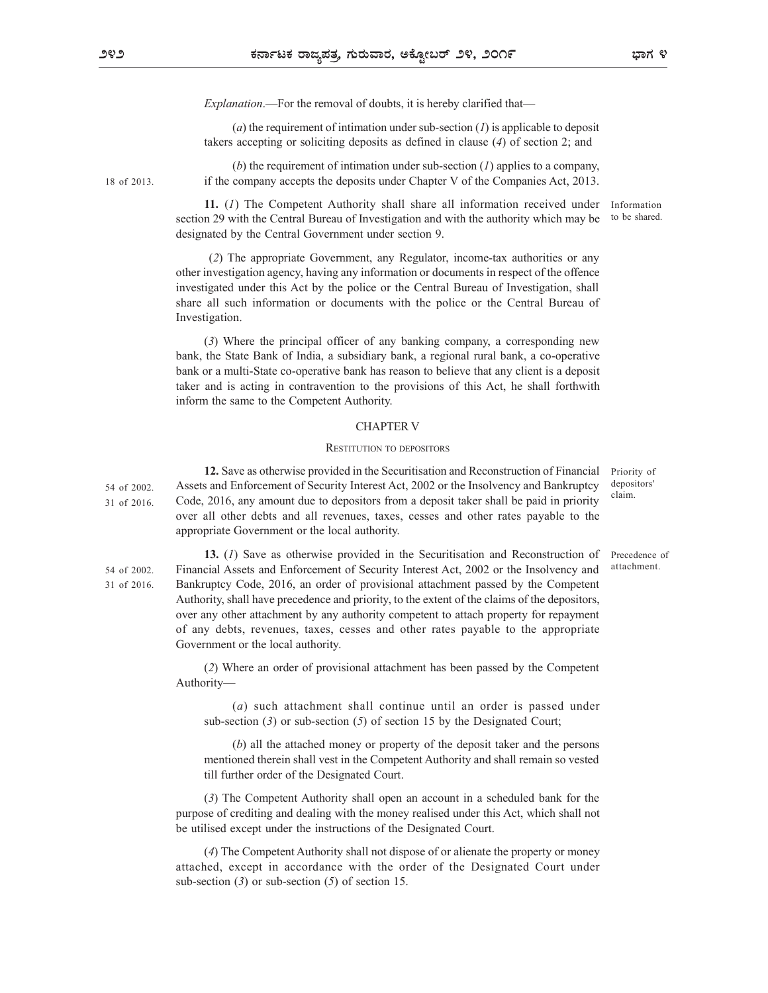Explanation.—For the removal of doubts, it is hereby clarified that—

(a) the requirement of intimation under sub-section (1) is applicable to deposit takers accepting or soliciting deposits as defined in clause (4) of section 2; and

(b) the requirement of intimation under sub-section  $(1)$  applies to a company, if the company accepts the deposits under Chapter V of the Companies Act, 2013. 18 of 2013.

> 11. (1) The Competent Authority shall share all information received under section 29 with the Central Bureau of Investigation and with the authority which may be designated by the Central Government under section 9.

 (2) The appropriate Government, any Regulator, income-tax authorities or any other investigation agency, having any information or documents in respect of the offence investigated under this Act by the police or the Central Bureau of Investigation, shall share all such information or documents with the police or the Central Bureau of Investigation.

(3) Where the principal officer of any banking company, a corresponding new bank, the State Bank of India, a subsidiary bank, a regional rural bank, a co-operative bank or a multi-State co-operative bank has reason to believe that any client is a deposit taker and is acting in contravention to the provisions of this Act, he shall forthwith inform the same to the Competent Authority. of intimation under sub-section ( $I$ ) is applicable to deposit<br>ting deposits as defined in clause ( $\theta$ ) of section 2; and<br>of intimation under sub-section ( $I$ ) applies to a company,<br>elections and comparing the comparing

### CHAPTER V

12. Save as otherwise provided in the Securitisation and Reconstruction of Financial 54 of 2002. Assets and Enforcement of Security Interest Act, 2002 or the Insolvency and Bankruptcy depositors'  $31$  of 2016. Code, 2016, any amount due to depositors from a deposit taker shall be paid in priority  $\frac{1}{2}$ over all other debts and all revenues, taxes, cesses and other rates payable to the appropriate Government or the local authority.

13. (1) Save as otherwise provided in the Securitisation and Reconstruction of 54 of 2002. Financial Assets and Enforcement of Security Interest Act, 2002 or the Insolvency and attachment. Bankruptcy Code, 2016, an order of provisional attachment passed by the Competent Authority, shall have precedence and priority, to the extent of the claims of the depositors, over any other attachment by any authority competent to attach property for repayment of any debts, revenues, taxes, cesses and other rates payable to the appropriate Government or the local authority.

(2) Where an order of provisional attachment has been passed by the Competent Authority—

(a) such attachment shall continue until an order is passed under sub-section  $(3)$  or sub-section  $(5)$  of section 15 by the Designated Court;

(b) all the attached money or property of the deposit taker and the persons mentioned therein shall vest in the Competent Authority and shall remain so vested till further order of the Designated Court.

(3) The Competent Authority shall open an account in a scheduled bank for the purpose of crediting and dealing with the money realised under this Act, which shall not be utilised except under the instructions of the Designated Court.

(4) The Competent Authority shall not dispose of or alienate the property or money attached, except in accordance with the order of the Designated Court under sub-section  $(3)$  or sub-section  $(5)$  of section 15.

31 of 2016.

Information to be shared.

Priority of depositors' claim.

Precedence of attachment.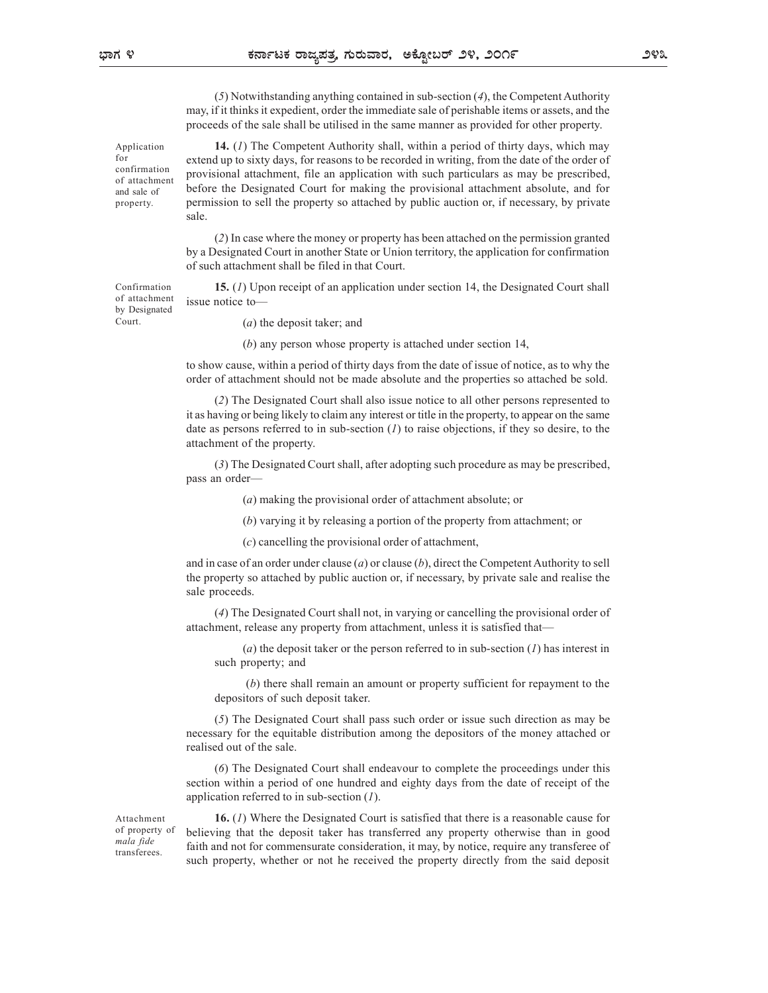(5) Notwithstanding anything contained in sub-section (4), the Competent Authority may, if it thinks it expedient, order the immediate sale of perishable items or assets, and the proceeds of the sale shall be utilised in the same manner as provided for other property.

Application **14.** (1) The Competent Authority shall, within a period of thirty days, which may extend up to sixty days, for reasons to be recorded in writing, from the date of the order of for  $\frac{1}{2}$  confirmation provisional attachment, file an application with such particulars as may be prescribed, and sale of before the Designated Court for making the provisional attachment absolute, and for permission to sell the property so attached by public auction or, if necessary, by private sale.

(2) In case where the money or property has been attached on the permission granted by a Designated Court in another State or Union territory, the application for confirmation of such attachment shall be filed in that Court.

Confirmation **15.** (1) Upon receipt of an application under section 14, the Designated Court shall of attachment issue notice to —

(a) the deposit taker; and

(b) any person whose property is attached under section 14,

to show cause, within a period of thirty days from the date of issue of notice, as to why the order of attachment should not be made absolute and the properties so attached be sold.

(2) The Designated Court shall also issue notice to all other persons represented to it as having or being likely to claim any interest or title in the property, to appear on the same date as persons referred to in sub-section  $(I)$  to raise objections, if they so desire, to the attachment of the property.

(3) The Designated Court shall, after adopting such procedure as may be prescribed, pass an order—

(a) making the provisional order of attachment absolute; or

(b) varying it by releasing a portion of the property from attachment; or

(c) cancelling the provisional order of attachment,

and in case of an order under clause (a) or clause (b), direct the Competent Authority to sell the property so attached by public auction or, if necessary, by private sale and realise the sale proceeds.

(4) The Designated Court shall not, in varying or cancelling the provisional order of attachment, release any property from attachment, unless it is satisfied that—

(a) the deposit taker or the person referred to in sub-section  $(I)$  has interest in such property; and

 (b) there shall remain an amount or property sufficient for repayment to the depositors of such deposit taker.

(5) The Designated Court shall pass such order or issue such direction as may be necessary for the equitable distribution among the depositors of the money attached or realised out of the sale.

(6) The Designated Court shall endeavour to complete the proceedings under this section within a period of one hundred and eighty days from the date of receipt of the application referred to in sub-section  $(1)$ .

transferees.

Attachment **16.** (*I*) Where the Designated Court is satisfied that there is a reasonable cause for of property of believing that the deposit taker has transferred any property otherwise than in good  $\frac{mala \text{ fide}}{mafine}$  faith and not for commensurate consideration, it may, by notice, require any transferee of such property, whether or not he received the property directly from the said deposit

by Designated Court.

of attachment property.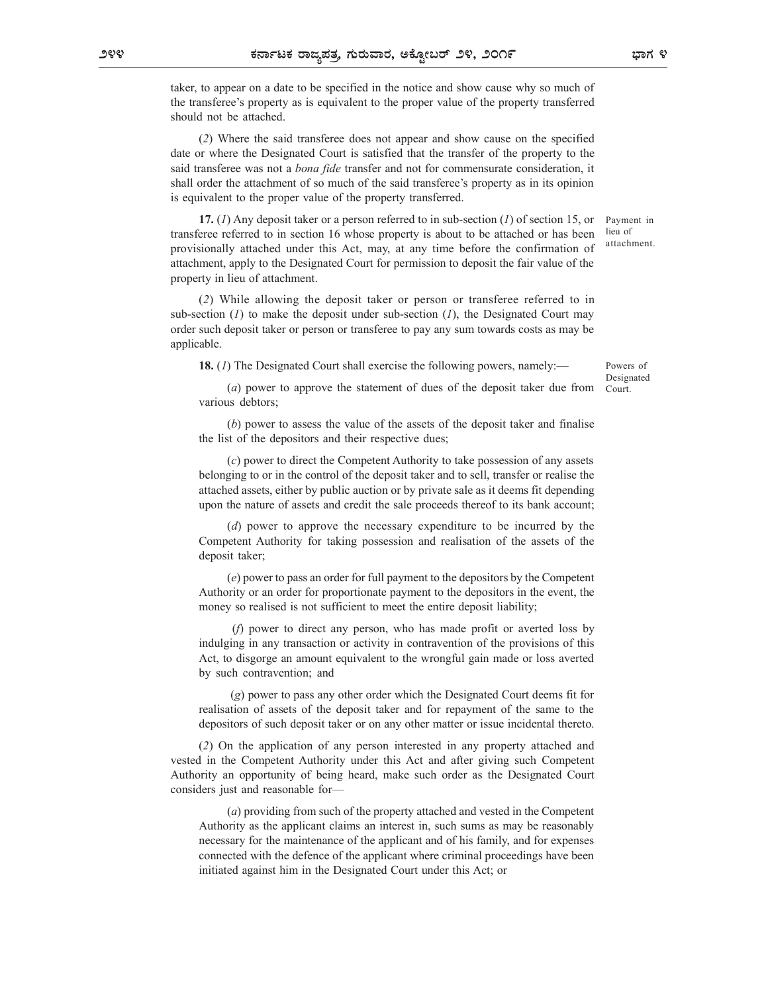taker, to appear on a date to be specified in the notice and show cause why so much of the transferee's property as is equivalent to the proper value of the property transferred should not be attached.

(2) Where the said transferee does not appear and show cause on the specified date or where the Designated Court is satisfied that the transfer of the property to the said transferee was not a *bona fide* transfer and not for commensurate consideration, it shall order the attachment of so much of the said transferee's property as in its opinion is equivalent to the proper value of the property transferred.

17. (1) Any deposit taker or a person referred to in sub-section (1) of section 15, or transferee referred to in section 16 whose property is about to be attached or has been provisionally attached under this Act, may, at any time before the confirmation of attachment, apply to the Designated Court for permission to deposit the fair value of the property in lieu of attachment.

(2) While allowing the deposit taker or person or transferee referred to in sub-section  $(1)$  to make the deposit under sub-section  $(1)$ , the Designated Court may order such deposit taker or person or transferee to pay any sum towards costs as may be applicable.

18. (1) The Designated Court shall exercise the following powers, namely:—

Powers of Designated Court.

Payment in lieu of attachment.

(a) power to approve the statement of dues of the deposit taker due from various debtors;

(b) power to assess the value of the assets of the deposit taker and finalise the list of the depositors and their respective dues;

(c) power to direct the Competent Authority to take possession of any assets belonging to or in the control of the deposit taker and to sell, transfer or realise the attached assets, either by public auction or by private sale as it deems fit depending upon the nature of assets and credit the sale proceeds thereof to its bank account;

(d) power to approve the necessary expenditure to be incurred by the Competent Authority for taking possession and realisation of the assets of the deposit taker;

(e) power to pass an order for full payment to the depositors by the Competent Authority or an order for proportionate payment to the depositors in the event, the money so realised is not sufficient to meet the entire deposit liability;

 (f) power to direct any person, who has made profit or averted loss by indulging in any transaction or activity in contravention of the provisions of this Act, to disgorge an amount equivalent to the wrongful gain made or loss averted by such contravention; and

 (g) power to pass any other order which the Designated Court deems fit for realisation of assets of the deposit taker and for repayment of the same to the depositors of such deposit taker or on any other matter or issue incidental thereto.

(2) On the application of any person interested in any property attached and vested in the Competent Authority under this Act and after giving such Competent Authority an opportunity of being heard, make such order as the Designated Court considers just and reasonable for—

(a) providing from such of the property attached and vested in the Competent Authority as the applicant claims an interest in, such sums as may be reasonably necessary for the maintenance of the applicant and of his family, and for expenses connected with the defence of the applicant where criminal proceedings have been initiated against him in the Designated Court under this Act; or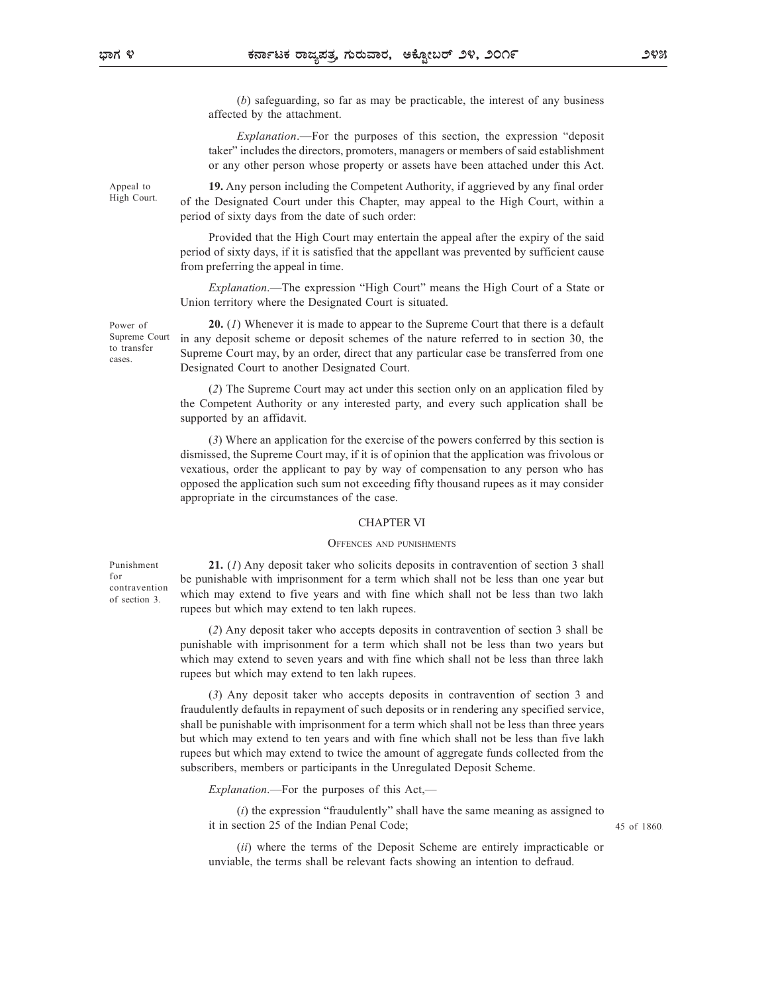(b) safeguarding, so far as may be practicable, the interest of any business affected by the attachment.

Explanation.—For the purposes of this section, the expression "deposit taker" includes the directors, promoters, managers or members of said establishment or any other person whose property or assets have been attached under this Act.

Appeal to **19.** Any person including the Competent Authority, if aggrieved by any final order High Court. of the Designated Court under this Chapter, may appeal to the High Court, within a period of sixty days from the date of such order:

> Provided that the High Court may entertain the appeal after the expiry of the said period of sixty days, if it is satisfied that the appellant was prevented by sufficient cause from preferring the appeal in time.

> Explanation.—The expression "High Court" means the High Court of a State or Union territory where the Designated Court is situated.

Power of 20. (1) Whenever it is made to appear to the Supreme Court that there is a default Supreme Court in any deposit scheme or deposit schemes of the nature referred to in section 30, the to transfer<br>
Supreme Court may, by an order, direct that any particular case be transferred from one Designated Court to another Designated Court. cases.  $\overline{\phantom{a}}$ 

> (2) The Supreme Court may act under this section only on an application filed by the Competent Authority or any interested party, and every such application shall be supported by an affidavit.

(3) Where an application for the exercise of the powers conferred by this section is dismissed, the Supreme Court may, if it is of opinion that the application was frivolous or vexatious, order the applicant to pay by way of compensation to any person who has opposed the application such sum not exceeding fifty thousand rupees as it may consider appropriate in the circumstances of the case. The state of state in a speed after the expiry of the said<br>correl may entertain the appellant was prevented by sufficient cause<br>me.<br>Session "High Court" means the High Court of a State or<br>gianted Court is situated.<br>dade to

### CHAPTER VI

of section 3.

Punishment 21. (1) Any deposit taker who solicits deposits in contravention of section 3 shall be punishable with imprisonment for a term which shall not be less than one year but for  $\frac{1}{\text{coefficient}}$  which may extend to five years and with fine which shall not be less than two lakh rupees but which may extend to ten lakh rupees.

(2) Any deposit taker who accepts deposits in contravention of section 3 shall be punishable with imprisonment for a term which shall not be less than two years but which may extend to seven years and with fine which shall not be less than three lakh rupees but which may extend to ten lakh rupees.

(3) Any deposit taker who accepts deposits in contravention of section 3 and fraudulently defaults in repayment of such deposits or in rendering any specified service, shall be punishable with imprisonment for a term which shall not be less than three years but which may extend to ten years and with fine which shall not be less than five lakh rupees but which may extend to twice the amount of aggregate funds collected from the subscribers, members or participants in the Unregulated Deposit Scheme.

*Explanation.*—For the purposes of this Act,—

 $(i)$  the expression "fraudulently" shall have the same meaning as assigned to it in section 25 of the Indian Penal Code;

45 of 1860.

(ii) where the terms of the Deposit Scheme are entirely impracticable or unviable, the terms shall be relevant facts showing an intention to defraud.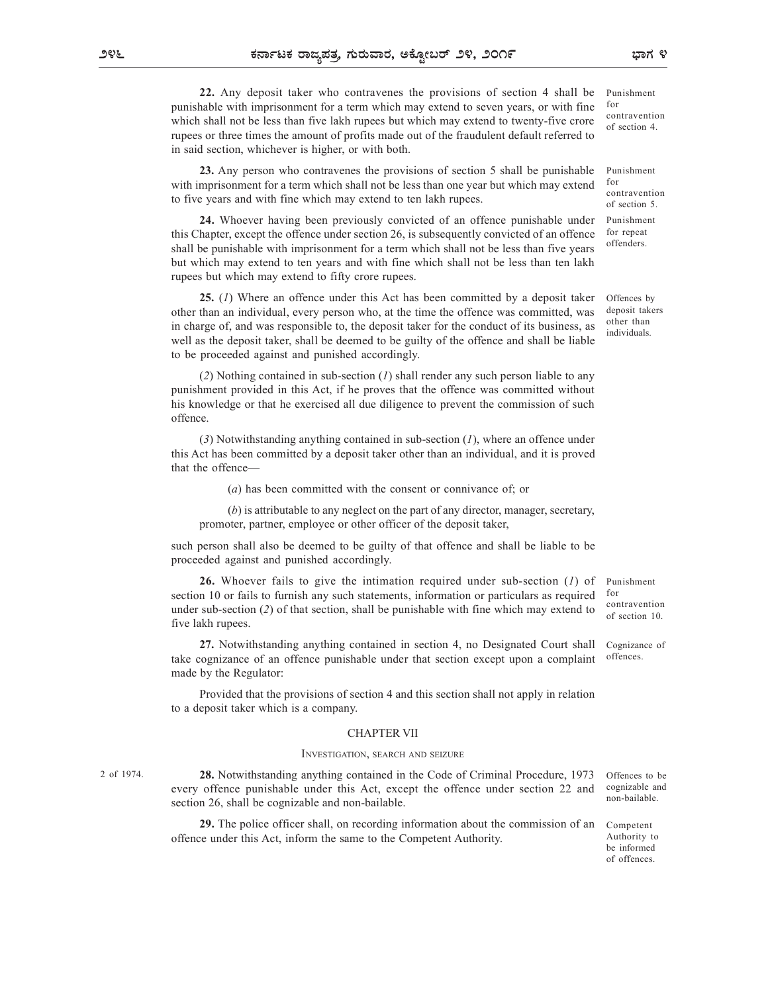22. Any deposit taker who contravenes the provisions of section 4 shall be Pure boble with imprisonment for a term which may extend to seven years as with fine. for punishable with imprisonment for a term which may extend to seven years, or with fine which shall not be less than five lakh rupees but which may extend to twenty-five crore rupees or three times the amount of profits made out of the fraudulent default referred to in said section, whichever is higher, or with both.

23. Any person who contravenes the provisions of section 5 shall be punishable with imprisonment for a term which shall not be less than one year but which may extend  $10<sup>10<sub>1</sub></sup>$ to five years and with fine which may extend to ten lakh rupees.

24. Whoever having been previously convicted of an offence punishable under this Chapter, except the offence under section 26, is subsequently convicted of an offence shall be punishable with imprisonment for a term which shall not be less than five years but which may extend to ten years and with fine which shall not be less than ten lakh rupees but which may extend to fifty crore rupees.

25. (1) Where an offence under this Act has been committed by a deposit taker other than an individual, every person who, at the time the offence was committed, was in charge of, and was responsible to, the deposit taker for the conduct of its business, as well as the deposit taker, shall be deemed to be guilty of the offence and shall be liable to be proceeded against and punished accordingly.

 $(2)$  Nothing contained in sub-section  $(1)$  shall render any such person liable to any punishment provided in this Act, if he proves that the offence was committed without his knowledge or that he exercised all due diligence to prevent the commission of such offence.

(3) Notwithstanding anything contained in sub-section  $(I)$ , where an offence under this Act has been committed by a deposit taker other than an individual, and it is proved that the offence—

(a) has been committed with the consent or connivance of; or

(b) is attributable to any neglect on the part of any director, manager, secretary, promoter, partner, employee or other officer of the deposit taker,

such person shall also be deemed to be guilty of that offence and shall be liable to be proceeded against and punished accordingly.

26. Whoever fails to give the intimation required under sub-section (1) of section 10 or fails to furnish any such statements, information or particulars as required for under sub-section (2) of that section, shall be punishable with fine which may extend to five lakh rupees. Maything contained in sub-section (1), where an offence under<br>d by a deposit taker other than an individual, and it is proved<br>momitted with the consent or connivance of; or<br>the to any neglect on the part of any director, m

27. Notwithstanding anything contained in section 4, no Designated Court shall take cognizance of an offence punishable under that section except upon a complaint made by the Regulator: Cognizance of

Provided that the provisions of section 4 and this section shall not apply in relation to a deposit taker which is a company.

### CHAPTER VII

2 of 1974. 28. Notwithstanding anything contained in the Code of Criminal Procedure, 1973 Offences to be every offence punishable under this Act, except the offence under section 22 and section 26, shall be cognizable and non-bailable.

29. The police officer shall, on recording information about the commission of an offence under this Act, inform the same to the Competent Authority.

offences.

Offences by deposit takers

Punishment for repeat offenders.

Punishment

Punishment

contravention of section 4.

contravention of section 5.

for

for

other than individuals.

Punishment for contravention of section 10.

cognizable and non-bailable.

Competent Authority to be informed of offences.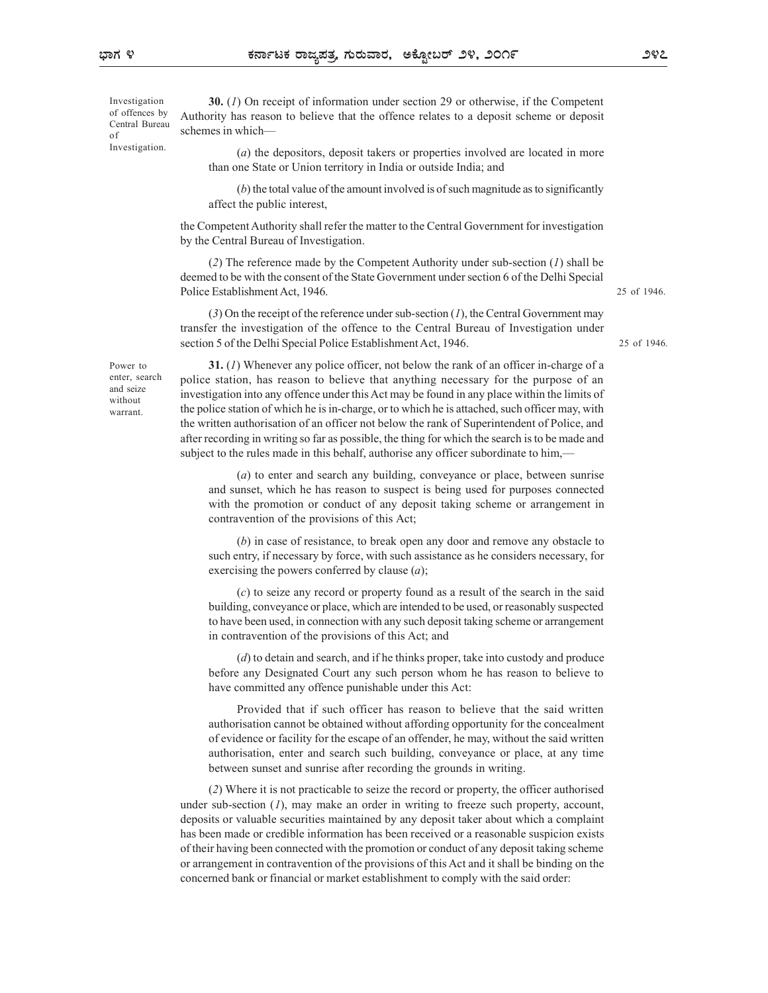Central Bureau Investigation.

Investigation **30.** (1) On receipt of information under section 29 or otherwise, if the Competent of offences by Authority has reason to believe that the offence relates to a deposit scheme or deposit of schemes in which—

> (a) the depositors, deposit takers or properties involved are located in more than one State or Union territory in India or outside India; and

> (b) the total value of the amount involved is of such magnitude as to significantly affect the public interest,

the Competent Authority shall refer the matter to the Central Government for investigation by the Central Bureau of Investigation.

(2) The reference made by the Competent Authority under sub-section (1) shall be deemed to be with the consent of the State Government under section 6 of the Delhi Special Police Establishment Act, 1946.

 $(3)$  On the receipt of the reference under sub-section  $(1)$ , the Central Government may transfer the investigation of the offence to the Central Bureau of Investigation under section 5 of the Delhi Special Police Establishment Act, 1946.

Power to  $31. (1)$  Whenever any police officer, not below the rank of an officer in-charge of a enter, search police station, has reason to believe that anything necessary for the purpose of an and seize investigation into any offence under this Act may be found in any place within the limits of the police station of which he is in-charge, or to which he is attached, such officer may, with warrant. the written authorisation of an officer not below the rank of Superintendent of Police, and after recording in writing so far as possible, the thing for which the search is to be made and subject to the rules made in this behalf, authorise any officer subordinate to him, without mycsugation in

> (a) to enter and search any building, conveyance or place, between sunrise and sunset, which he has reason to suspect is being used for purposes connected with the promotion or conduct of any deposit taking scheme or arrangement in contravention of the provisions of this Act;

> (b) in case of resistance, to break open any door and remove any obstacle to such entry, if necessary by force, with such assistance as he considers necessary, for exercising the powers conferred by clause  $(a)$ ;

> (c) to seize any record or property found as a result of the search in the said building, conveyance or place, which are intended to be used, or reasonably suspected to have been used, in connection with any such deposit taking scheme or arrangement in contravention of the provisions of this Act; and

> (d) to detain and search, and if he thinks proper, take into custody and produce before any Designated Court any such person whom he has reason to believe to have committed any offence punishable under this Act:

> Provided that if such officer has reason to believe that the said written authorisation cannot be obtained without affording opportunity for the concealment of evidence or facility for the escape of an offender, he may, without the said written authorisation, enter and search such building, conveyance or place, at any time between sunset and sunrise after recording the grounds in writing.

(2) Where it is not practicable to seize the record or property, the officer authorised under sub-section  $(1)$ , may make an order in writing to freeze such property, account, deposits or valuable securities maintained by any deposit taker about which a complaint has been made or credible information has been received or a reasonable suspicion exists of their having been connected with the promotion or conduct of any deposit taking scheme or arrangement in contravention of the provisions of this Act and it shall be binding on the concerned bank or financial or market establishment to comply with the said order:

25 of 1946.

25 of 1946.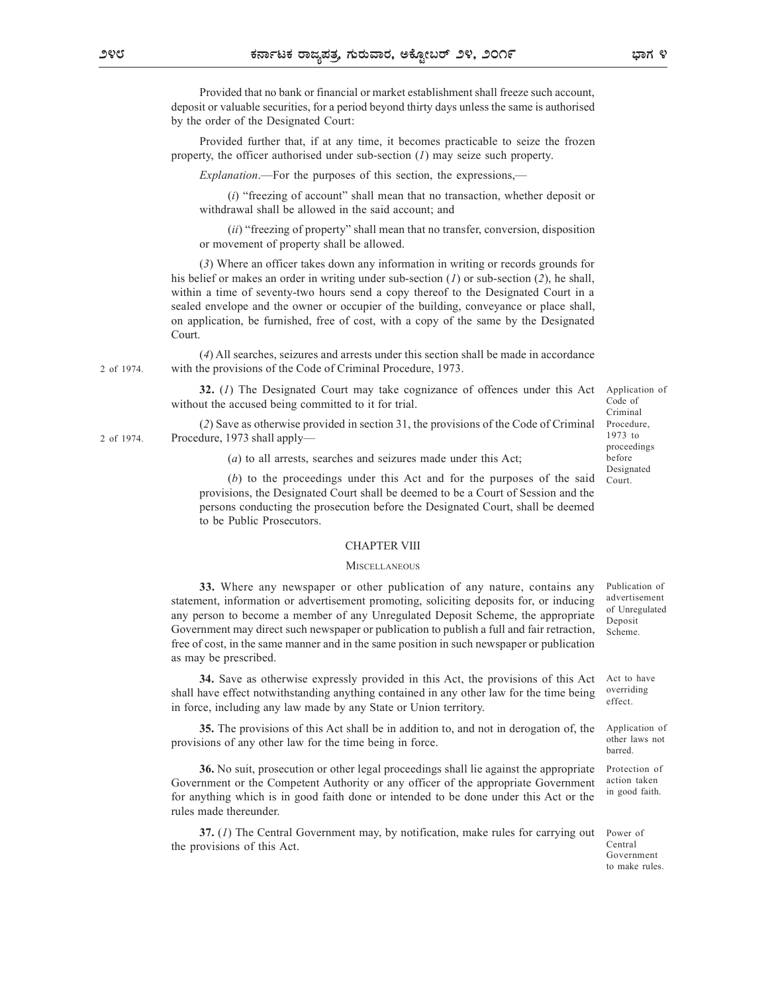Provided that no bank or financial or market establishment shall freeze such account, deposit or valuable securities, for a period beyond thirty days unless the same is authorised by the order of the Designated Court:

Provided further that, if at any time, it becomes practicable to seize the frozen property, the officer authorised under sub-section  $(I)$  may seize such property.

Explanation.—For the purposes of this section, the expressions,—

 $(i)$  "freezing of account" shall mean that no transaction, whether deposit or withdrawal shall be allowed in the said account; and

(ii) "freezing of property" shall mean that no transfer, conversion, disposition or movement of property shall be allowed.

(3) Where an officer takes down any information in writing or records grounds for his belief or makes an order in writing under sub-section  $(1)$  or sub-section  $(2)$ , he shall, within a time of seventy-two hours send a copy thereof to the Designated Court in a sealed envelope and the owner or occupier of the building, conveyance or place shall, on application, be furnished, free of cost, with a copy of the same by the Designated Court.

(4) All searches, seizures and arrests under this section shall be made in accordance with the provisions of the Code of Criminal Procedure, 1973. 2 of 1974.

> 32. (1) The Designated Court may take cognizance of offences under this Act without the accused being committed to it for trial.

(2) Save as otherwise provided in section 31, the provisions of the Code of Criminal Procedure, 1973 shall apply— $\frac{1973 \text{ to } 1973 \text{ to } 1973}{1973 \text{ to } 1973}$ 

(a) to all arrests, searches and seizures made under this Act;

(b) to the proceedings under this Act and for the purposes of the said provisions, the Designated Court shall be deemed to be a Court of Session and the persons conducting the prosecution before the Designated Court, shall be deemed to be Public Prosecutors.

### CHAPTER VIII

### **MISCELLANEOUS**

33. Where any newspaper or other publication of any nature, contains any statement, information or advertisement promoting, soliciting deposits for, or inducing any person to become a member of any Unregulated Deposit Scheme, the appropriate Government may direct such newspaper or publication to publish a full and fair retraction, free of cost, in the same manner and in the same position in such newspaper or publication as may be prescribed.

34. Save as otherwise expressly provided in this Act, the provisions of this Act shall have effect notwithstanding anything contained in any other law for the time being in force, including any law made by any State or Union territory.

35. The provisions of this Act shall be in addition to, and not in derogation of, the provisions of any other law for the time being in force.

36. No suit, prosecution or other legal proceedings shall lie against the appropriate Government or the Competent Authority or any officer of the appropriate Government for anything which is in good faith done or intended to be done under this Act or the rules made thereunder.

37. (1) The Central Government may, by notification, make rules for carrying out the provisions of this Act.

Publication of advertisement of Unregulated Deposit Scheme.

Act to have overriding effect.

Application of other laws not barred.

Protection of action taken in good faith.

Power of Central Government

to make rules.

Application of Code of Criminal Procedure,

proceedings before Designated Court.

1973 to

2 of 1974.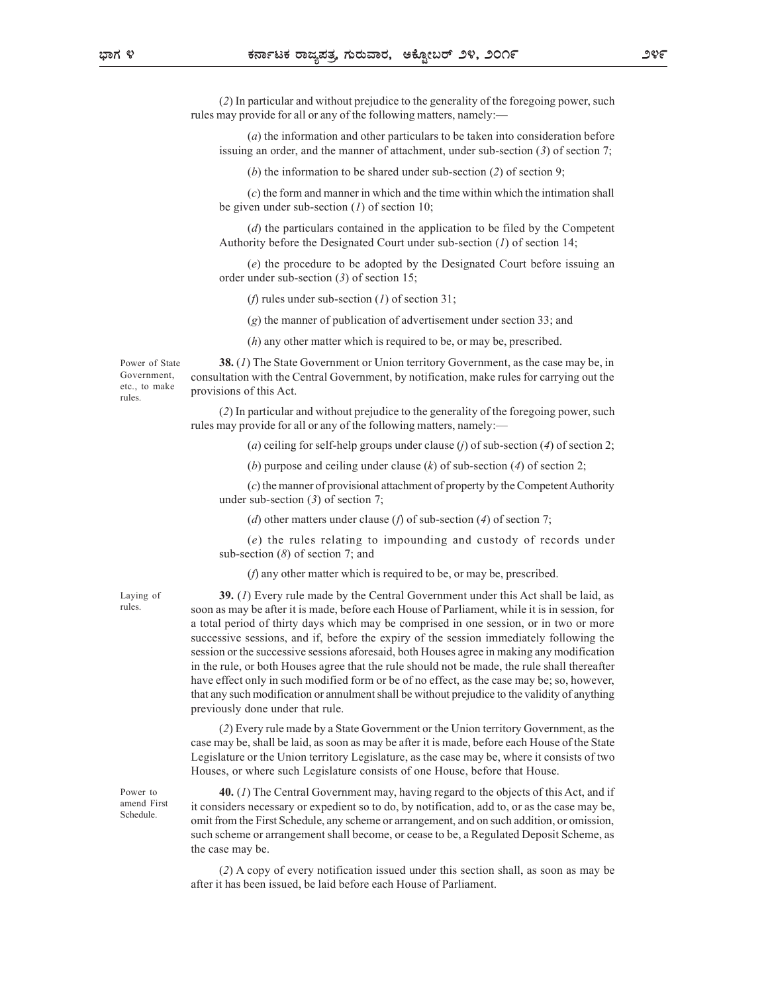(2) In particular and without prejudice to the generality of the foregoing power, such rules may provide for all or any of the following matters, namely:-

(a) the information and other particulars to be taken into consideration before issuing an order, and the manner of attachment, under sub-section (3) of section 7;

(b) the information to be shared under sub-section  $(2)$  of section 9;

(c) the form and manner in which and the time within which the intimation shall be given under sub-section  $(1)$  of section 10;

(d) the particulars contained in the application to be filed by the Competent Authority before the Designated Court under sub-section  $(1)$  of section 14;

(e) the procedure to be adopted by the Designated Court before issuing an order under sub-section (3) of section 15;

(*f*) rules under sub-section (*l*) of section 31;

(g) the manner of publication of advertisement under section 33; and

(h) any other matter which is required to be, or may be, prescribed.

rules. Provisions

Power of State **38.** (1) The State Government or Union territory Government, as the case may be, in Government, consultation with the Central Government, by notification, make rules for carrying out the etc., to make provisions of this Act.

(2) In particular and without prejudice to the generality of the foregoing power, such rules may provide for all or any of the following matters, namely:—

(a) ceiling for self-help groups under clause (j) of sub-section (4) of section 2;

(b) purpose and ceiling under clause  $(k)$  of sub-section  $(4)$  of section 2;

(c) the manner of provisional attachment of property by the Competent Authority under sub-section  $(3)$  of section 7;

(d) other matters under clause (f) of sub-section (4) of section 7;

(e) the rules relating to impounding and custody of records under sub-section (8) of section 7; and

(f) any other matter which is required to be, or may be, prescribed.

Schedule.

Laying of  $\qquad \qquad$  39. (1) Every rule made by the Central Government under this Act shall be laid, as rules. soon as may be after it is made, before each House of Parliament, while it is in session, for a total period of thirty days which may be comprised in one session, or in two or more successive sessions, and if, before the expiry of the session immediately following the session or the successive sessions aforesaid, both Houses agree in making any modification in the rule, or both Houses agree that the rule should not be made, the rule shall thereafter have effect only in such modified form or be of no effect, as the case may be; so, however, that any such modification or annulment shall be without prejudice to the validity of anything previously done under that rule.

> (2) Every rule made by a State Government or the Union territory Government, as the case may be, shall be laid, as soon as may be after it is made, before each House of the State Legislature or the Union territory Legislature, as the case may be, where it consists of two Houses, or where such Legislature consists of one House, before that House.

Power to  $\mathbf{40.} (I)$  The Central Government may, having regard to the objects of this Act, and if amend First it considers necessary or expedient so to do, by notification, add to, or as the case may be, omit from the First Schedule, any scheme or arrangement, and on such addition, or omission, such scheme or arrangement shall become, or cease to be, a Regulated Deposit Scheme, as the case may be.

> (2) A copy of every notification issued under this section shall, as soon as may be after it has been issued, be laid before each House of Parliament.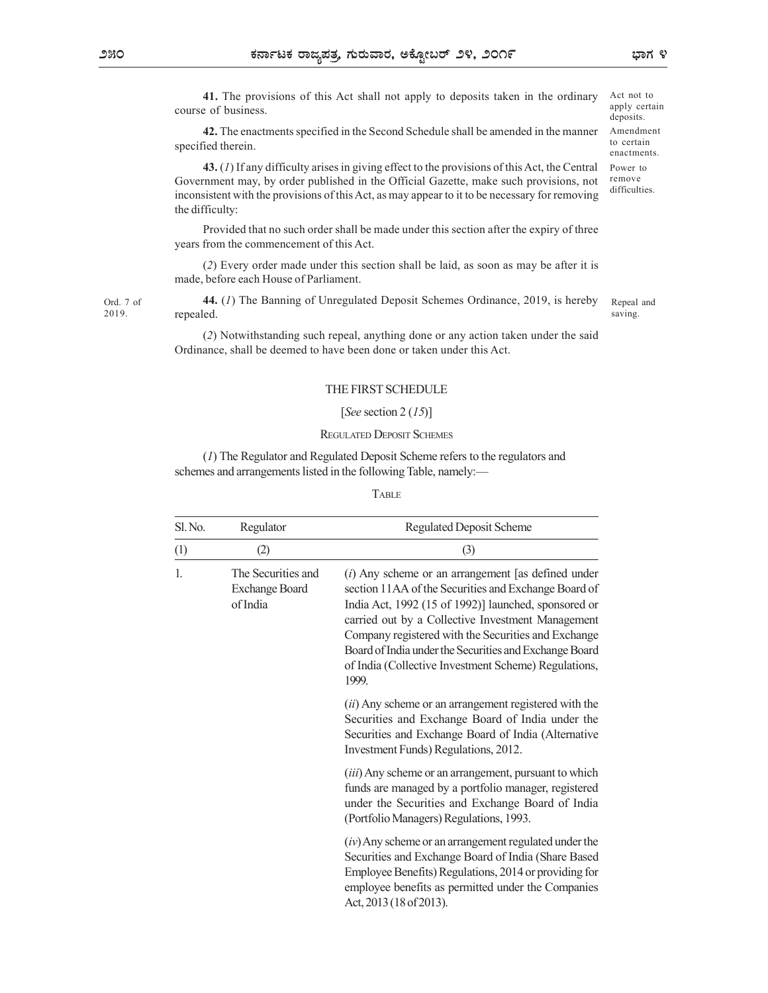41. The provisions of this Act shall not apply to deposits taken in the ordinary course of business.

42. The enactments specified in the Second Schedule shall be amended in the manner specified therein.

43. (1) If any difficulty arises in giving effect to the provisions of this Act, the Central Government may, by order published in the Official Gazette, make such provisions, not inconsistent with the provisions of this Act, as may appear to it to be necessary for removing the difficulty:

Ord. 7 of **44.** (1) The Banning of Unregulated Deposit Schemes Ordinance, 2019, is hereby Repeal and repealed. 2019.

## THE FIRST SCHEDULE

### [See section 2 (15)]

### REGULATED DEPOSIT SCHEMES

### TABLE **THE SECTION OF A SET A**

| the difficulty: |                                                         |                                                                                                                                                                                                                                                                                                                                                                                                             |                       |
|-----------------|---------------------------------------------------------|-------------------------------------------------------------------------------------------------------------------------------------------------------------------------------------------------------------------------------------------------------------------------------------------------------------------------------------------------------------------------------------------------------------|-----------------------|
|                 | years from the commencement of this Act.                | Provided that no such order shall be made under this section after the expiry of three                                                                                                                                                                                                                                                                                                                      |                       |
|                 | made, before each House of Parliament.                  | (2) Every order made under this section shall be laid, as soon as may be after it is                                                                                                                                                                                                                                                                                                                        |                       |
| repealed.       |                                                         | 44. (1) The Banning of Unregulated Deposit Schemes Ordinance, 2019, is hereby                                                                                                                                                                                                                                                                                                                               | Repeal and<br>saving. |
|                 |                                                         | (2) Notwithstanding such repeal, anything done or any action taken under the said<br>Ordinance, shall be deemed to have been done or taken under this Act.                                                                                                                                                                                                                                                  |                       |
|                 |                                                         | THE FIRST SCHEDULE                                                                                                                                                                                                                                                                                                                                                                                          |                       |
|                 |                                                         | [See section 2 $(15)$ ]                                                                                                                                                                                                                                                                                                                                                                                     |                       |
|                 |                                                         | <b>REGULATED DEPOSIT SCHEMES</b>                                                                                                                                                                                                                                                                                                                                                                            |                       |
|                 |                                                         | (1) The Regulator and Regulated Deposit Scheme refers to the regulators and<br>schemes and arrangements listed in the following Table, namely:-                                                                                                                                                                                                                                                             |                       |
|                 |                                                         | <b>TABLE</b>                                                                                                                                                                                                                                                                                                                                                                                                |                       |
| Sl. No.         | Regulator                                               | <b>Regulated Deposit Scheme</b>                                                                                                                                                                                                                                                                                                                                                                             |                       |
| (1)             | (2)                                                     | (3)                                                                                                                                                                                                                                                                                                                                                                                                         |                       |
| 1.              | The Securities and<br><b>Exchange Board</b><br>of India | $(i)$ Any scheme or an arrangement [as defined under<br>section 11AA of the Securities and Exchange Board of<br>India Act, 1992 (15 of 1992)] launched, sponsored or<br>carried out by a Collective Investment Management<br>Company registered with the Securities and Exchange<br>Board of India under the Securities and Exchange Board<br>of India (Collective Investment Scheme) Regulations,<br>1999. |                       |
|                 |                                                         | (ii) Any scheme or an arrangement registered with the<br>Securities and Exchange Board of India under the<br>Securities and Exchange Board of India (Alternative<br>Investment Funds) Regulations, 2012.                                                                                                                                                                                                    |                       |
|                 |                                                         | (iii) Any scheme or an arrangement, pursuant to which<br>funds are managed by a portfolio manager, registered<br>under the Securities and Exchange Board of India<br>(Portfolio Managers) Regulations, 1993.                                                                                                                                                                                                |                       |
|                 |                                                         | $(iv)$ Any scheme or an arrangement regulated under the<br>Securities and Exchange Board of India (Share Based<br>Employee Benefits) Regulations, 2014 or providing for<br>employee benefits as permitted under the Companies<br>Act, 2013 (18 of 2013).                                                                                                                                                    |                       |

Amendment to certain enactments. Power to remove difficulties.

Act not to apply certain deposits.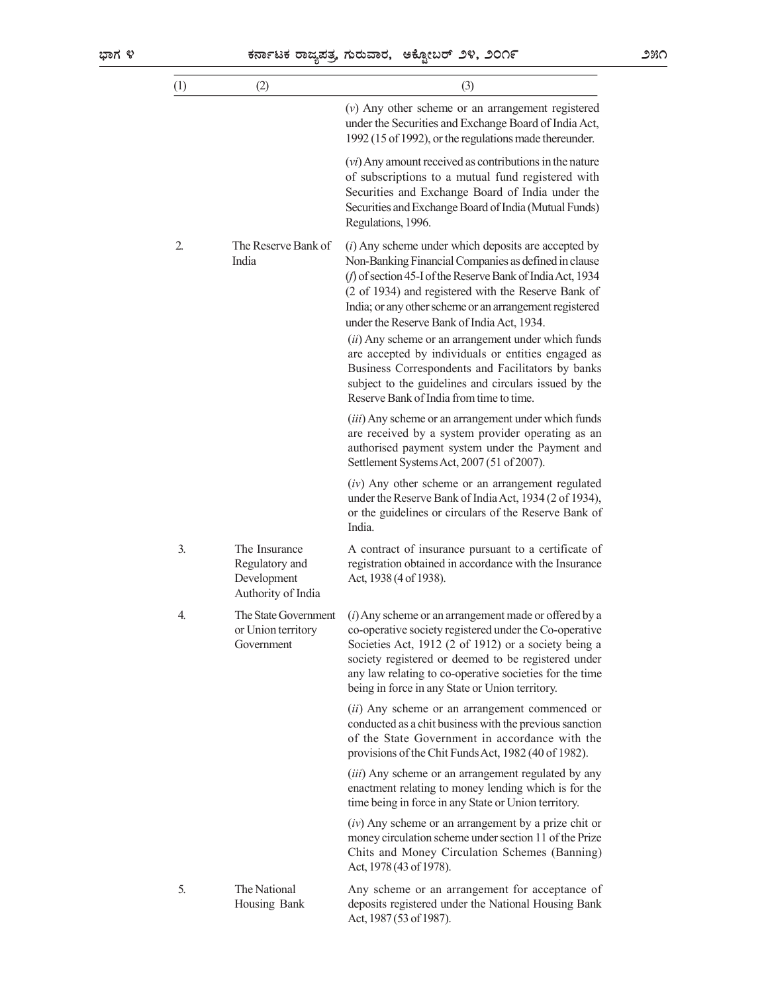|     |                                                                      | ಕರ್ನಾಟಕ ರಾಜ್ಯಪತ್ರ, ಗುರುವಾರ,  ಅಕ್ಟೋಬರ್ ೨೪, ೨೦೧೯                                                                                                                                                                                                                                                                                                                                                                                                                                                                                                                                                                     | ೨೫೧ |
|-----|----------------------------------------------------------------------|--------------------------------------------------------------------------------------------------------------------------------------------------------------------------------------------------------------------------------------------------------------------------------------------------------------------------------------------------------------------------------------------------------------------------------------------------------------------------------------------------------------------------------------------------------------------------------------------------------------------|-----|
| (1) | (2)                                                                  | (3)                                                                                                                                                                                                                                                                                                                                                                                                                                                                                                                                                                                                                |     |
|     |                                                                      | $(v)$ Any other scheme or an arrangement registered<br>under the Securities and Exchange Board of India Act,<br>1992 (15 of 1992), or the regulations made thereunder.                                                                                                                                                                                                                                                                                                                                                                                                                                             |     |
|     |                                                                      | $(vi)$ Any amount received as contributions in the nature<br>of subscriptions to a mutual fund registered with<br>Securities and Exchange Board of India under the<br>Securities and Exchange Board of India (Mutual Funds)<br>Regulations, 1996.                                                                                                                                                                                                                                                                                                                                                                  |     |
| 2.  | The Reserve Bank of<br>India                                         | $(i)$ Any scheme under which deposits are accepted by<br>Non-Banking Financial Companies as defined in clause<br>(f) of section 45-I of the Reserve Bank of India Act, 1934<br>(2 of 1934) and registered with the Reserve Bank of<br>India; or any other scheme or an arrangement registered<br>under the Reserve Bank of India Act, 1934.<br>(ii) Any scheme or an arrangement under which funds<br>are accepted by individuals or entities engaged as<br>Business Correspondents and Facilitators by banks<br>subject to the guidelines and circulars issued by the<br>Reserve Bank of India from time to time. |     |
|     |                                                                      | (iii) Any scheme or an arrangement under which funds<br>are received by a system provider operating as an<br>authorised payment system under the Payment and<br>Settlement Systems Act, 2007 (51 of 2007).                                                                                                                                                                                                                                                                                                                                                                                                         |     |
|     |                                                                      | $(iv)$ Any other scheme or an arrangement regulated<br>under the Reserve Bank of India Act, 1934 (2 of 1934),<br>or the guidelines or circulars of the Reserve Bank of<br>India.                                                                                                                                                                                                                                                                                                                                                                                                                                   |     |
| 3.  | The Insurance<br>Regulatory and<br>Development<br>Authority of India | A contract of insurance pursuant to a certificate of<br>registration obtained in accordance with the Insurance<br>Act, 1938 (4 of 1938).                                                                                                                                                                                                                                                                                                                                                                                                                                                                           |     |
| 4.  | The State Government<br>or Union territory<br>Government             | ( <i>i</i> ) Any scheme or an arrangement made or offered by a<br>co-operative society registered under the Co-operative<br>Societies Act, 1912 (2 of 1912) or a society being a<br>society registered or deemed to be registered under<br>any law relating to co-operative societies for the time<br>being in force in any State or Union territory.                                                                                                                                                                                                                                                              |     |
|     |                                                                      | (ii) Any scheme or an arrangement commenced or<br>conducted as a chit business with the previous sanction<br>of the State Government in accordance with the<br>provisions of the Chit Funds Act, 1982 (40 of 1982).                                                                                                                                                                                                                                                                                                                                                                                                |     |
|     |                                                                      | (iii) Any scheme or an arrangement regulated by any<br>enactment relating to money lending which is for the<br>time being in force in any State or Union territory.                                                                                                                                                                                                                                                                                                                                                                                                                                                |     |
|     |                                                                      | $(iv)$ Any scheme or an arrangement by a prize chit or<br>money circulation scheme under section 11 of the Prize<br>Chits and Money Circulation Schemes (Banning)<br>Act, 1978 (43 of 1978).                                                                                                                                                                                                                                                                                                                                                                                                                       |     |
| 5.  | The National<br>Housing Bank                                         | Any scheme or an arrangement for acceptance of<br>deposits registered under the National Housing Bank<br>Act, 1987 (53 of 1987).                                                                                                                                                                                                                                                                                                                                                                                                                                                                                   |     |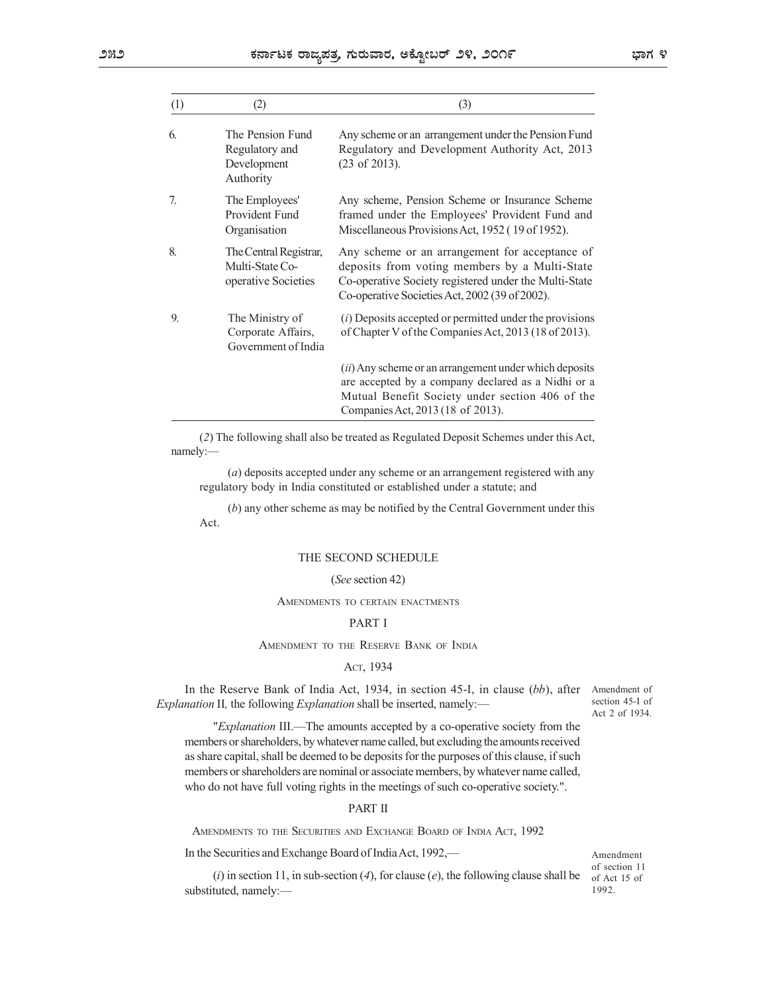|          |                                                                  | ಕರ್ನಾಟಕ ರಾಜ್ಯಪತ್ರ, ಗುರುವಾರ, ಅಕ್ಟೋಬರ್ ೨೪, ೨೦೧೯                                                                                                                                                              | ಭಾಗ ೪                             |
|----------|------------------------------------------------------------------|------------------------------------------------------------------------------------------------------------------------------------------------------------------------------------------------------------|-----------------------------------|
| (1)      | (2)                                                              | (3)                                                                                                                                                                                                        |                                   |
| 6.       | The Pension Fund<br>Regulatory and<br>Development<br>Authority   | Any scheme or an arrangement under the Pension Fund<br>Regulatory and Development Authority Act, 2013<br>$(23 \text{ of } 2013).$                                                                          |                                   |
| 7.       | The Employees'<br>Provident Fund<br>Organisation                 | Any scheme, Pension Scheme or Insurance Scheme<br>framed under the Employees' Provident Fund and<br>Miscellaneous Provisions Act, 1952 (19 of 1952).                                                       |                                   |
| 8.       | The Central Registrar,<br>Multi-State Co-<br>operative Societies | Any scheme or an arrangement for acceptance of<br>deposits from voting members by a Multi-State<br>Co-operative Society registered under the Multi-State<br>Co-operative Societies Act, 2002 (39 of 2002). |                                   |
| 9.       | The Ministry of<br>Corporate Affairs,<br>Government of India     | $(i)$ Deposits accepted or permitted under the provisions<br>of Chapter V of the Companies Act, 2013 (18 of 2013).                                                                                         |                                   |
|          |                                                                  | (ii) Any scheme or an arrangement under which deposits<br>are accepted by a company declared as a Nidhi or a<br>Mutual Benefit Society under section 406 of the<br>Companies Act, 2013 (18 of 2013).       |                                   |
| namely:- |                                                                  | (2) The following shall also be treated as Regulated Deposit Schemes under this Act,                                                                                                                       |                                   |
|          |                                                                  | (a) deposits accepted under any scheme or an arrangement registered with any<br>regulatory body in India constituted or established under a statute; and                                                   |                                   |
|          | Act.                                                             | $(b)$ any other scheme as may be notified by the Central Government under this                                                                                                                             |                                   |
|          |                                                                  | THE SECOND SCHEDULE                                                                                                                                                                                        |                                   |
|          |                                                                  | (See section 42)                                                                                                                                                                                           |                                   |
|          |                                                                  | AMENDMENTS TO CERTAIN ENACTMENTS                                                                                                                                                                           |                                   |
|          |                                                                  | <b>PART I</b>                                                                                                                                                                                              |                                   |
|          |                                                                  | AMENDMENT TO THE RESERVE BANK OF INDIA                                                                                                                                                                     |                                   |
|          |                                                                  | Аст, 1934                                                                                                                                                                                                  |                                   |
|          |                                                                  | In the Reserve Bank of India Act, 1934, in section 45-I, in clause (bb), after Amendment of<br><i>eplanation</i> II, the following <i>Explanation</i> shall be inserted, namely:—                          | section 45-I of<br>Act 2 of 1934. |
|          |                                                                  | " <i>Explanation</i> III — The amounts accepted by a co-operative society from the                                                                                                                         |                                   |

## THE SECOND SCHEDULE

### (See section 42)

## PART I

### ACT, 1934

"Explanation III.—The amounts accepted by a co-operative society from the members or shareholders, by whatever name called, but excluding the amounts received as share capital, shall be deemed to be deposits for the purposes of this clause, if such members or shareholders are nominal or associate members, by whatever name called, who do not have full voting rights in the meetings of such co-operative society.". (*b*) any other scheme as may be notified by the Central Government under this<br>Act.<br>
THE SECOND SCHEDULE<br>
(*See* section 42)<br> **AMENDMENT TO THE RESERVE BANS OF INDIA**<br>  $\Delta$ CT, 1934<br>
the Reserve Bank of India Act, 1994, in

## PART II

In the Securities and Exchange Board of India Act, 1992,—

Amendment of section 11 of Act 15 of 1992.

(*i*) in section 11, in sub-section (*4*), for clause (*e*), the following clause shall be substituted, namely:—